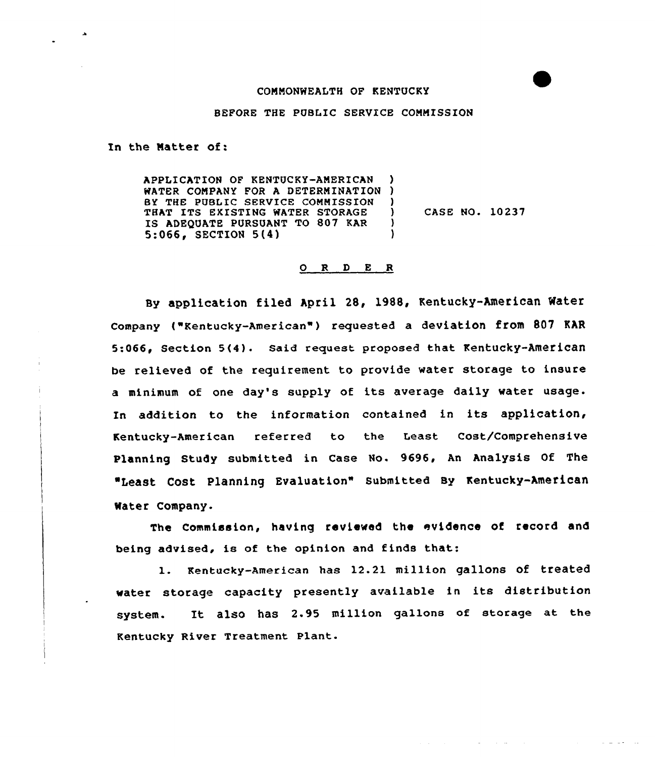## COMMONWEALTH OF KENTUCKY

## BEFORE THE PUBLIC SERVICE COMMISSION

In the Matter of:

APPLICATION OF KENTUCKY-AMERICAN WATER COMPANY FOR A DETERMINATIO BY THE PUBLIC SERVICE COMMISSION THAT ITS EXISTINQ WATER STORAGE IS ADEQUATE PURSUANT TO 807 KAR 5:066, SECTION 5(4) ) ) )  $)$  CASE NO.  $10237$ ) )

## 0 R <sup>D</sup> E <sup>R</sup>

Sy application filed April 28, 1988, Kentucky-American Mater Company ("Kentucky-American" ) requested <sup>a</sup> deviation from <sup>807</sup> EAR 5:066, Section 5(4). Said request proposed that Kentucky-American be relieved of the requirement to provide water storage to insure <sup>a</sup> minimum of one day's supply of its average daily water usage. In addition to the information contained in its application, Kentucky-American referred to the Least Cost/Comprehensive Planning Study submitted in Case No. 9696, An Analysis Of The Least cost Planning Evaluation" submitted By Kentucky-American Water Company-

The Commission, having reviewed the evidence of record and being advised, is of the opinion and finds that:

l. Kentucky-American has 12.21 million gallons of treated water storage capacity presently available in its distribution system. It also has 2.95 million gallons of storage at the Kentucky River Treatment Plant.

**Contractor**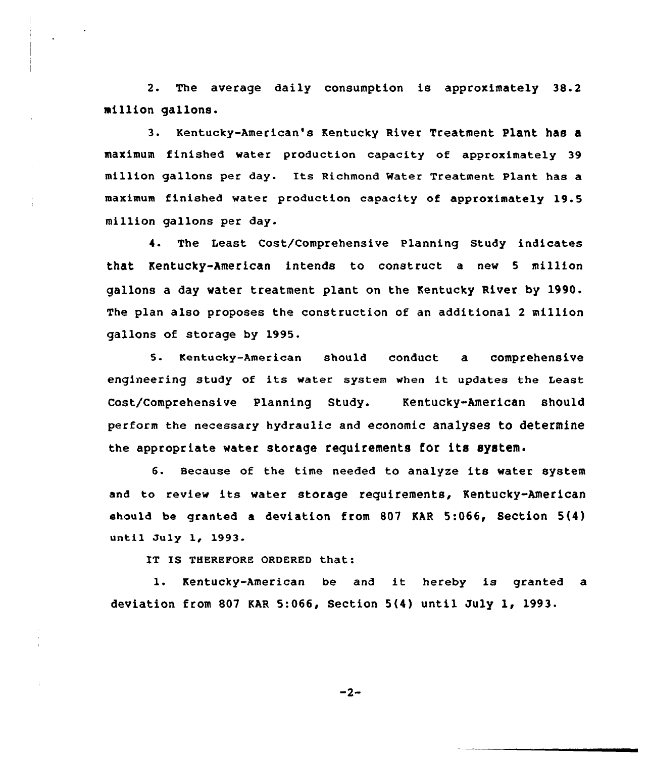2. The average daily consumption is approximately 38.2 million gallons.

3. Kentucky-American's Kentucky River Treatment plant has a maximum finished water production capacity of approximately 39 million gallons per day. Its Richmond Water Treatment Plant has a maximum finished water production capacity of approximately 19.5 million gallons per day.

4. The Least Cost/Comprehensive Planning Study indicates that Kentucky-American intends to construct a new <sup>5</sup> million gallons a day water treatment plant on the Kentucky River by 1990. The plan also proposes the construction of an additional 2 million gallons of storage by 1995.

5. Kentucky-American should conduct a comprehensive engineering study of its water system when it updates the Least Cost/Comprehensive Planning Study. Kentucky-American should perform the necessary hydraulic and economic analyses to determine the appropriate water storage requirements for its system.

6. Because of the time needed to analyze its water system and to review its water storage requirements, Kentucky-American should be granted a deviation from 807 KAR 5:066< Section 5(4) until July 1, 1993.

IT IS THEREPORE ORDERED that:

l. Kentucky-American be and it hereby is granted <sup>a</sup> deviation from 807 KAR 5:066, Section  $5(4)$  until July 1, 1993.

 $-2-$